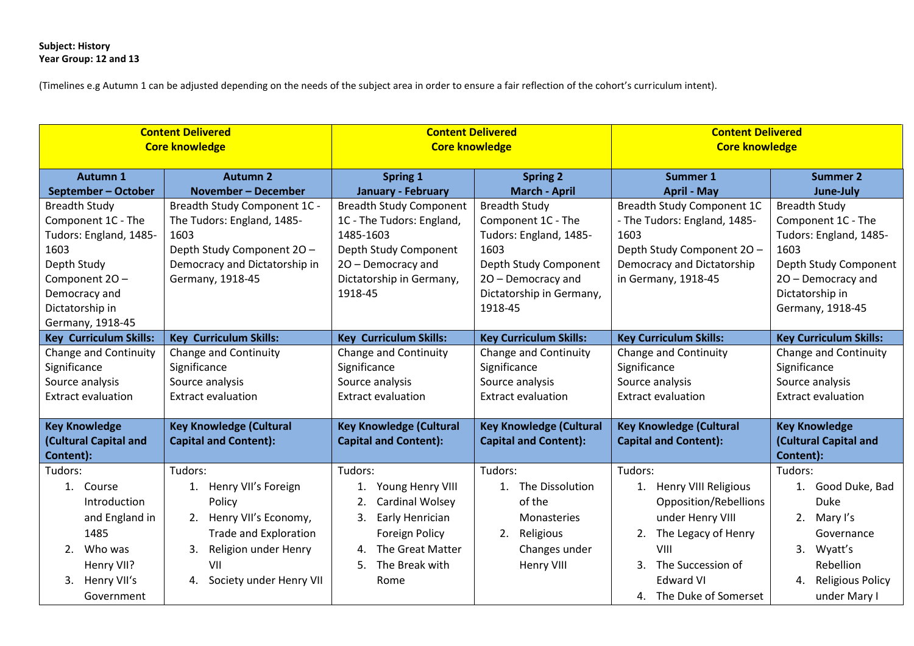## **Subject: History Year Group: 12 and 13**

(Timelines e.g Autumn 1 can be adjusted depending on the needs of the subject area in order to ensure a fair reflection of the cohort's curriculum intent).

| <b>Content Delivered</b><br><b>Core knowledge</b>                                                                                                                                            |                                                                                                                                                                                     | <b>Content Delivered</b><br><b>Core knowledge</b>                                                                                                                                    |                                                                                                                                                                                            | <b>Content Delivered</b><br><b>Core knowledge</b>                                                                                                                                                 |                                                                                                                                                                                 |  |
|----------------------------------------------------------------------------------------------------------------------------------------------------------------------------------------------|-------------------------------------------------------------------------------------------------------------------------------------------------------------------------------------|--------------------------------------------------------------------------------------------------------------------------------------------------------------------------------------|--------------------------------------------------------------------------------------------------------------------------------------------------------------------------------------------|---------------------------------------------------------------------------------------------------------------------------------------------------------------------------------------------------|---------------------------------------------------------------------------------------------------------------------------------------------------------------------------------|--|
| <b>Autumn 1</b>                                                                                                                                                                              | <b>Autumn 2</b>                                                                                                                                                                     | Spring 1                                                                                                                                                                             | <b>Spring 2</b><br>Summer 1                                                                                                                                                                |                                                                                                                                                                                                   | <b>Summer 2</b>                                                                                                                                                                 |  |
| September - October<br><b>Breadth Study</b><br>Component 1C - The<br>Tudors: England, 1485-<br>1603<br>Depth Study<br>Component 20 -<br>Democracy and<br>Dictatorship in<br>Germany, 1918-45 | <b>November - December</b><br>Breadth Study Component 1C -<br>The Tudors: England, 1485-<br>1603<br>Depth Study Component 20 -<br>Democracy and Dictatorship in<br>Germany, 1918-45 | January - February<br><b>Breadth Study Component</b><br>1C - The Tudors: England,<br>1485-1603<br>Depth Study Component<br>20 - Democracy and<br>Dictatorship in Germany,<br>1918-45 | <b>March - April</b><br><b>Breadth Study</b><br>Component 1C - The<br>Tudors: England, 1485-<br>1603<br>Depth Study Component<br>20 - Democracy and<br>Dictatorship in Germany,<br>1918-45 | <b>April - May</b><br><b>Breadth Study Component 1C</b><br>- The Tudors: England, 1485-<br>1603<br>Depth Study Component 20 -<br>Democracy and Dictatorship<br>in Germany, 1918-45                | June-July<br><b>Breadth Study</b><br>Component 1C - The<br>Tudors: England, 1485-<br>1603<br>Depth Study Component<br>20 - Democracy and<br>Dictatorship in<br>Germany, 1918-45 |  |
| <b>Key Curriculum Skills:</b>                                                                                                                                                                | <b>Key Curriculum Skills:</b>                                                                                                                                                       | <b>Key Curriculum Skills:</b>                                                                                                                                                        | <b>Key Curriculum Skills:</b>                                                                                                                                                              | <b>Key Curriculum Skills:</b>                                                                                                                                                                     | <b>Key Curriculum Skills:</b>                                                                                                                                                   |  |
| Change and Continuity<br>Significance<br>Source analysis<br><b>Extract evaluation</b>                                                                                                        | Change and Continuity<br>Significance<br>Source analysis<br><b>Extract evaluation</b>                                                                                               | Change and Continuity<br>Significance<br>Source analysis<br><b>Extract evaluation</b>                                                                                                | Change and Continuity<br>Significance<br>Source analysis<br><b>Extract evaluation</b>                                                                                                      | <b>Change and Continuity</b><br>Significance<br>Source analysis<br><b>Extract evaluation</b>                                                                                                      | Change and Continuity<br>Significance<br>Source analysis<br><b>Extract evaluation</b>                                                                                           |  |
| <b>Key Knowledge</b><br><b>Key Knowledge (Cultural</b><br>(Cultural Capital and<br><b>Capital and Content):</b><br>Content):                                                                 |                                                                                                                                                                                     | <b>Key Knowledge (Cultural</b><br><b>Capital and Content):</b>                                                                                                                       | <b>Key Knowledge (Cultural</b><br><b>Capital and Content):</b>                                                                                                                             | <b>Key Knowledge (Cultural</b><br><b>Capital and Content):</b>                                                                                                                                    | <b>Key Knowledge</b><br>(Cultural Capital and<br>Content):                                                                                                                      |  |
| Tudors:<br>1. Course<br>Introduction<br>and England in<br>1485<br>Who was<br>2.<br>Henry VII?<br>Henry VII's<br>3.<br>Government                                                             | Tudors:<br>1. Henry VII's Foreign<br>Policy<br>2. Henry VII's Economy,<br><b>Trade and Exploration</b><br>Religion under Henry<br>3.<br>VII<br>Society under Henry VII<br>4.        | Tudors:<br>Young Henry VIII<br>1.<br>Cardinal Wolsey<br>Early Henrician<br>3.<br><b>Foreign Policy</b><br>The Great Matter<br>4.<br>The Break with<br>5.<br>Rome                     | Tudors:<br>1. The Dissolution<br>of the<br><b>Monasteries</b><br>Religious<br>2.<br>Changes under<br>Henry VIII                                                                            | Tudors:<br>Henry VIII Religious<br>1.<br>Opposition/Rebellions<br>under Henry VIII<br>The Legacy of Henry<br>2.<br>VIII<br>The Succession of<br>3.<br><b>Edward VI</b><br>4. The Duke of Somerset | Tudors:<br>1. Good Duke, Bad<br><b>Duke</b><br>2. Mary I's<br>Governance<br>Wyatt's<br>3.<br>Rebellion<br>4. Religious Policy<br>under Mary I                                   |  |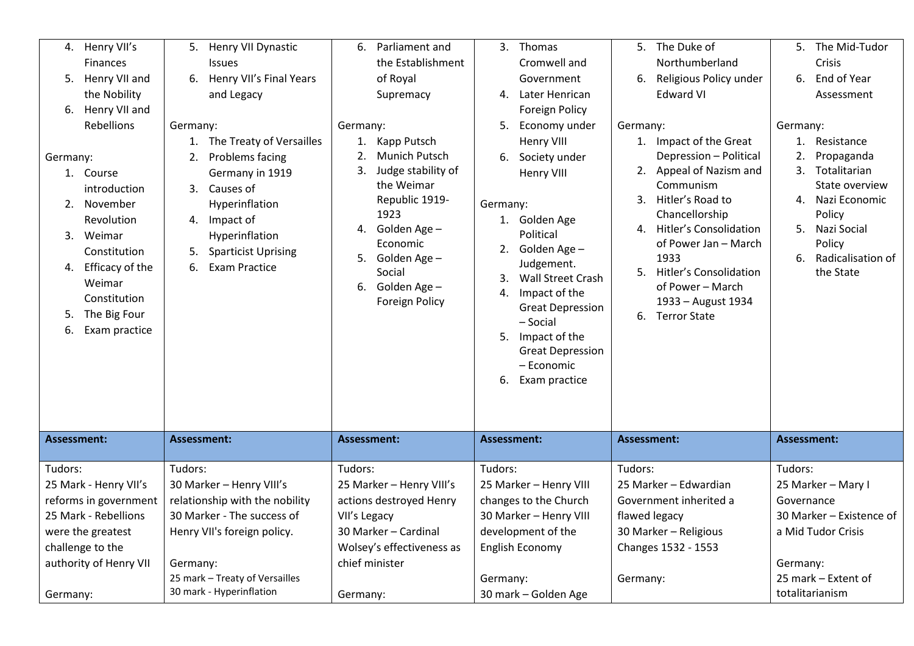|                                      |                                |                                |                             |                           |                         |                        | Thomas                              |                        |                                       |                    |                            |
|--------------------------------------|--------------------------------|--------------------------------|-----------------------------|---------------------------|-------------------------|------------------------|-------------------------------------|------------------------|---------------------------------------|--------------------|----------------------------|
|                                      | 4. Henry VII's                 | 5.                             | Henry VII Dynastic          | 6.                        | Parliament and          | 3.                     |                                     |                        | 5. The Duke of                        |                    | 5. The Mid-Tudor           |
|                                      | <b>Finances</b>                |                                | <b>Issues</b>               |                           | the Establishment       |                        | Cromwell and                        |                        | Northumberland                        |                    | Crisis                     |
|                                      | 5. Henry VII and               | 6.                             | Henry VII's Final Years     |                           | of Royal                |                        | Government                          |                        | 6. Religious Policy under             |                    | 6. End of Year             |
|                                      | the Nobility                   |                                | and Legacy                  |                           | Supremacy               |                        | 4. Later Henrican                   |                        | <b>Edward VI</b>                      |                    | Assessment                 |
|                                      | 6. Henry VII and               |                                |                             |                           |                         |                        | Foreign Policy                      |                        |                                       |                    |                            |
|                                      | Rebellions                     | Germany:                       |                             | Germany:                  |                         | 5.                     | Economy under                       | Germany:               |                                       | Germany:           |                            |
|                                      |                                |                                | 1. The Treaty of Versailles |                           | 1. Kapp Putsch          |                        | Henry VIII                          |                        | 1. Impact of the Great                |                    | 1. Resistance              |
| Germany:                             |                                | 2.                             | Problems facing             | 2.                        | <b>Munich Putsch</b>    | 6.                     | Society under                       |                        | Depression - Political                | 2.                 | Propaganda                 |
| 1. Course                            |                                |                                | Germany in 1919             | 3.                        | Judge stability of      |                        | Henry VIII                          |                        | 2. Appeal of Nazism and               |                    | 3. Totalitarian            |
|                                      | introduction                   |                                | 3. Causes of                |                           | the Weimar              |                        |                                     |                        | Communism                             |                    | State overview             |
|                                      | 2. November                    |                                | Hyperinflation              |                           | Republic 1919-<br>1923  | Germany:               |                                     |                        | 3. Hitler's Road to<br>Chancellorship |                    | 4. Nazi Economic<br>Policy |
|                                      | Revolution                     | 4.                             | Impact of                   |                           | 4. Golden Age -         |                        | 1. Golden Age                       |                        | 4. Hitler's Consolidation             |                    | 5. Nazi Social             |
| 3. Weimar                            |                                |                                | Hyperinflation              |                           | Economic                |                        | Political                           |                        | of Power Jan - March                  |                    | Policy                     |
|                                      | Constitution                   | 5.                             | <b>Sparticist Uprising</b>  |                           | 5. Golden Age -         |                        | 2. Golden Age -                     |                        | 1933                                  |                    | 6. Radicalisation of       |
|                                      | 4. Efficacy of the             | 6.                             | <b>Exam Practice</b>        |                           | Social                  |                        | Judgement.                          |                        | 5. Hitler's Consolidation             |                    | the State                  |
|                                      | Weimar                         |                                |                             |                           | 6. Golden Age -         | 3.                     | <b>Wall Street Crash</b>            |                        | of Power - March                      |                    |                            |
|                                      | Constitution                   |                                |                             |                           | <b>Foreign Policy</b>   | 4.                     | Impact of the                       |                        | 1933 - August 1934                    |                    |                            |
| 5.                                   | The Big Four                   |                                |                             |                           |                         |                        | <b>Great Depression</b><br>- Social |                        | 6. Terror State                       |                    |                            |
|                                      | 6. Exam practice               |                                |                             |                           |                         |                        | 5. Impact of the                    |                        |                                       |                    |                            |
|                                      |                                |                                |                             |                           |                         |                        | <b>Great Depression</b>             |                        |                                       |                    |                            |
|                                      |                                |                                |                             |                           |                         |                        | - Economic                          |                        |                                       |                    |                            |
|                                      |                                |                                |                             |                           |                         |                        | 6. Exam practice                    |                        |                                       |                    |                            |
|                                      |                                |                                |                             |                           |                         |                        |                                     |                        |                                       |                    |                            |
|                                      |                                |                                |                             |                           |                         |                        |                                     |                        |                                       |                    |                            |
|                                      |                                |                                |                             |                           |                         |                        |                                     |                        |                                       |                    |                            |
| Assessment:                          |                                | Assessment:                    |                             | Assessment:               |                         | Assessment:            |                                     | Assessment:            |                                       | Assessment:        |                            |
|                                      |                                |                                |                             |                           |                         |                        |                                     |                        |                                       |                    |                            |
| Tudors:                              |                                | Tudors:                        |                             | Tudors:                   |                         | Tudors:                |                                     | Tudors:                |                                       | Tudors:            |                            |
| 25 Mark - Henry VII's                | 30 Marker - Henry VIII's       |                                |                             | 25 Marker - Henry VIII's  | 25 Marker - Henry VIII  |                        | 25 Marker - Edwardian               |                        |                                       | 25 Marker - Mary I |                            |
|                                      | reforms in government          | relationship with the nobility |                             |                           | actions destroyed Henry | changes to the Church  |                                     | Government inherited a |                                       | Governance         |                            |
| 25 Mark - Rebellions                 |                                |                                | 30 Marker - The success of  | VII's Legacy              |                         | 30 Marker - Henry VIII |                                     | flawed legacy          |                                       |                    | 30 Marker - Existence of   |
| were the greatest                    | Henry VII's foreign policy.    |                                |                             | 30 Marker - Cardinal      | development of the      |                        | 30 Marker - Religious               |                        |                                       | a Mid Tudor Crisis |                            |
| challenge to the                     |                                |                                |                             | Wolsey's effectiveness as | English Economy         |                        | Changes 1532 - 1553                 |                        |                                       |                    |                            |
| authority of Henry VII               |                                | Germany:                       |                             | chief minister            |                         |                        |                                     |                        |                                       | Germany:           |                            |
|                                      | 25 mark - Treaty of Versailles |                                |                             |                           |                         |                        | Germany:                            |                        | Germany:                              |                    | 25 mark - Extent of        |
| 30 mark - Hyperinflation<br>Germany: |                                |                                | Germany:                    |                           |                         | 30 mark - Golden Age   |                                     |                        |                                       | totalitarianism    |                            |